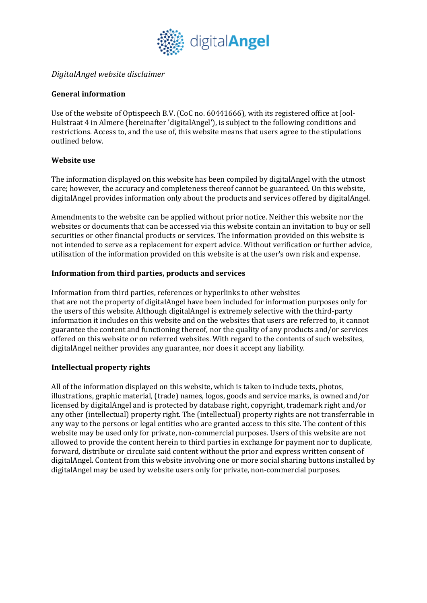

# *DigitalAngel website disclaimer*

## **General information**

Use of the website of Optispeech B.V. (CoC no. 60441666), with its registered office at Jool-Hulstraat 4 in Almere (hereinafter 'digitalAngel'), is subject to the following conditions and restrictions. Access to, and the use of, this website means that users agree to the stipulations outlined below.

## **Website** use

The information displayed on this website has been compiled by digitalAngel with the utmost care; however, the accuracy and completeness thereof cannot be guaranteed. On this website, digitalAngel provides information only about the products and services offered by digitalAngel.

Amendments to the website can be applied without prior notice. Neither this website nor the websites or documents that can be accessed via this website contain an invitation to buy or sell securities or other financial products or services. The information provided on this website is not intended to serve as a replacement for expert advice. Without verification or further advice, utilisation of the information provided on this website is at the user's own risk and expense.

## Information from third parties, products and services

Information from third parties, references or hyperlinks to other websites that are not the property of digitalAngel have been included for information purposes only for the users of this website. Although digitalAngel is extremely selective with the third-party information it includes on this website and on the websites that users are referred to, it cannot guarantee the content and functioning thereof, nor the quality of any products and/or services offered on this website or on referred websites. With regard to the contents of such websites, digitalAngel neither provides any guarantee, nor does it accept any liability.

## **Intellectual property rights**

All of the information displayed on this website, which is taken to include texts, photos, illustrations, graphic material, (trade) names, logos, goods and service marks, is owned and/or licensed by digitalAngel and is protected by database right, copyright, trademark right and/or any other (intellectual) property right. The (intellectual) property rights are not transferrable in any way to the persons or legal entities who are granted access to this site. The content of this website may be used only for private, non-commercial purposes. Users of this website are not allowed to provide the content herein to third parties in exchange for payment nor to duplicate, forward, distribute or circulate said content without the prior and express written consent of digitalAngel. Content from this website involving one or more social sharing buttons installed by digitalAngel may be used by website users only for private, non-commercial purposes.